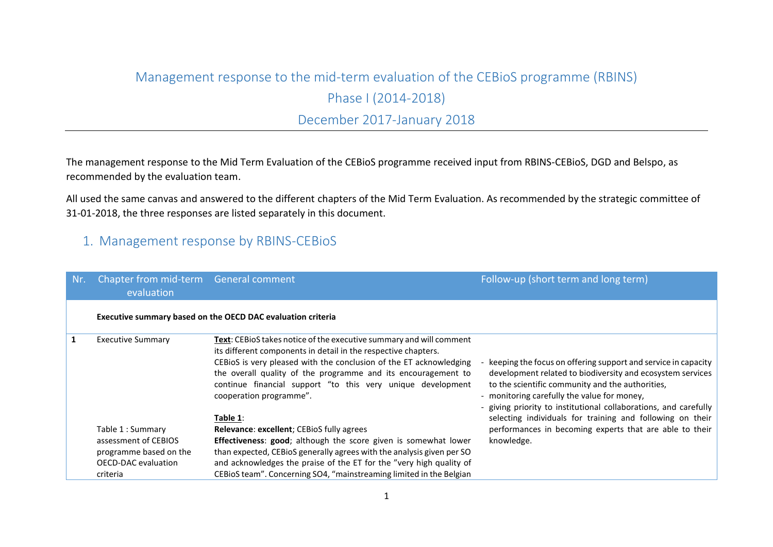### Management response to the mid-term evaluation of the CEBioS programme (RBINS)

Phase I (2014-2018)

## December 2017-January 2018

The management response to the Mid Term Evaluation of the CEBioS programme received input from RBINS-CEBioS, DGD and Belspo, as recommended by the evaluation team.

All used the same canvas and answered to the different chapters of the Mid Term Evaluation. As recommended by the strategic committee of 31-01-2018, the three responses are listed separately in this document.

## 1. Management response by RBINS-CEBioS

| Nr.          | Chapter from mid-term General comment<br>evaluation |                                                                                                                                                                                                                                                                                                                                                                                    | Follow-up (short term and long term)                                                                                                                                                                                                                                                                                                                            |
|--------------|-----------------------------------------------------|------------------------------------------------------------------------------------------------------------------------------------------------------------------------------------------------------------------------------------------------------------------------------------------------------------------------------------------------------------------------------------|-----------------------------------------------------------------------------------------------------------------------------------------------------------------------------------------------------------------------------------------------------------------------------------------------------------------------------------------------------------------|
|              |                                                     | Executive summary based on the OECD DAC evaluation criteria                                                                                                                                                                                                                                                                                                                        |                                                                                                                                                                                                                                                                                                                                                                 |
| $\mathbf{1}$ | <b>Executive Summary</b>                            | Text: CEBioS takes notice of the executive summary and will comment<br>its different components in detail in the respective chapters.<br>CEBIOS is very pleased with the conclusion of the ET acknowledging<br>the overall quality of the programme and its encouragement to<br>continue financial support "to this very unique development<br>cooperation programme".<br>Table 1: | keeping the focus on offering support and service in capacity<br>development related to biodiversity and ecosystem services<br>to the scientific community and the authorities,<br>- monitoring carefully the value for money,<br>- giving priority to institutional collaborations, and carefully<br>selecting individuals for training and following on their |
|              | Table 1 : Summary<br>assessment of CEBIOS           | <b>Relevance: excellent; CEBioS fully agrees</b><br>Effectiveness: good; although the score given is somewhat lower                                                                                                                                                                                                                                                                | performances in becoming experts that are able to their<br>knowledge.                                                                                                                                                                                                                                                                                           |
|              | programme based on the                              | than expected, CEBioS generally agrees with the analysis given per SO                                                                                                                                                                                                                                                                                                              |                                                                                                                                                                                                                                                                                                                                                                 |
|              | <b>OECD-DAC</b> evaluation                          | and acknowledges the praise of the ET for the "very high quality of                                                                                                                                                                                                                                                                                                                |                                                                                                                                                                                                                                                                                                                                                                 |
|              | criteria                                            | CEBIOS team". Concerning SO4, "mainstreaming limited in the Belgian                                                                                                                                                                                                                                                                                                                |                                                                                                                                                                                                                                                                                                                                                                 |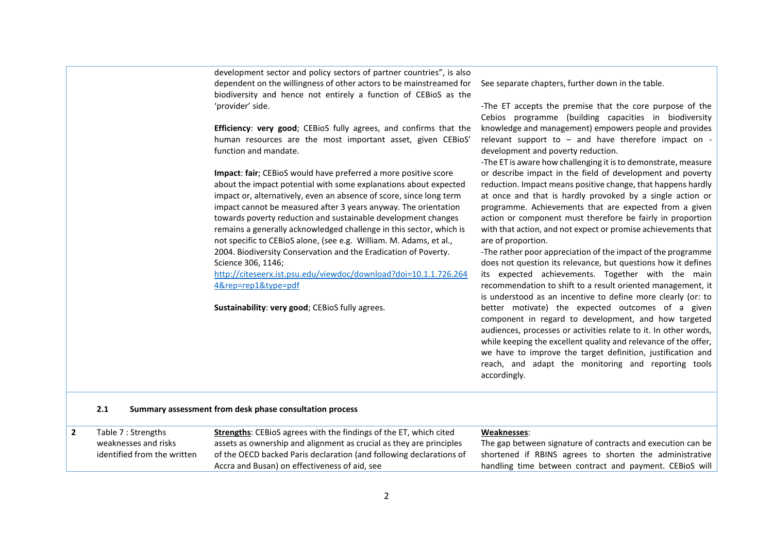|                |                                                                            | development sector and policy sectors of partner countries", is also<br>dependent on the willingness of other actors to be mainstreamed for<br>biodiversity and hence not entirely a function of CEBioS as the<br>'provider' side.                                                                                                                                                                                                                                                                                                                                                                                                                                                                                                 | See separate chapters, further down in the table.<br>-The ET accepts the premise that the core purpose of the<br>Cebios programme (building capacities in biodiversity                                                                                                                                                                                                                                                                                                                                                                                                                                                                                                                                                                                                                                                                                                                                                                                                                                                                                                                                |
|----------------|----------------------------------------------------------------------------|------------------------------------------------------------------------------------------------------------------------------------------------------------------------------------------------------------------------------------------------------------------------------------------------------------------------------------------------------------------------------------------------------------------------------------------------------------------------------------------------------------------------------------------------------------------------------------------------------------------------------------------------------------------------------------------------------------------------------------|-------------------------------------------------------------------------------------------------------------------------------------------------------------------------------------------------------------------------------------------------------------------------------------------------------------------------------------------------------------------------------------------------------------------------------------------------------------------------------------------------------------------------------------------------------------------------------------------------------------------------------------------------------------------------------------------------------------------------------------------------------------------------------------------------------------------------------------------------------------------------------------------------------------------------------------------------------------------------------------------------------------------------------------------------------------------------------------------------------|
|                |                                                                            | Efficiency: very good; CEBioS fully agrees, and confirms that the<br>human resources are the most important asset, given CEBioS'<br>function and mandate.                                                                                                                                                                                                                                                                                                                                                                                                                                                                                                                                                                          | knowledge and management) empowers people and provides<br>relevant support to - and have therefore impact on -<br>development and poverty reduction.<br>-The ET is aware how challenging it is to demonstrate, measure                                                                                                                                                                                                                                                                                                                                                                                                                                                                                                                                                                                                                                                                                                                                                                                                                                                                                |
|                |                                                                            | Impact: fair; CEBioS would have preferred a more positive score<br>about the impact potential with some explanations about expected<br>impact or, alternatively, even an absence of score, since long term<br>impact cannot be measured after 3 years anyway. The orientation<br>towards poverty reduction and sustainable development changes<br>remains a generally acknowledged challenge in this sector, which is<br>not specific to CEBioS alone, (see e.g. William. M. Adams, et al.,<br>2004. Biodiversity Conservation and the Eradication of Poverty.<br>Science 306, 1146;<br>http://citeseerx.ist.psu.edu/viewdoc/download?doi=10.1.1.726.264<br>4&rep=rep1&type=pdf<br>Sustainability: very good; CEBioS fully agrees. | or describe impact in the field of development and poverty<br>reduction. Impact means positive change, that happens hardly<br>at once and that is hardly provoked by a single action or<br>programme. Achievements that are expected from a given<br>action or component must therefore be fairly in proportion<br>with that action, and not expect or promise achievements that<br>are of proportion.<br>-The rather poor appreciation of the impact of the programme<br>does not question its relevance, but questions how it defines<br>its expected achievements. Together with the main<br>recommendation to shift to a result oriented management, it<br>is understood as an incentive to define more clearly (or: to<br>better motivate) the expected outcomes of a given<br>component in regard to development, and how targeted<br>audiences, processes or activities relate to it. In other words,<br>while keeping the excellent quality and relevance of the offer,<br>we have to improve the target definition, justification and<br>reach, and adapt the monitoring and reporting tools |
|                | 2.1                                                                        | Summary assessment from desk phase consultation process                                                                                                                                                                                                                                                                                                                                                                                                                                                                                                                                                                                                                                                                            | accordingly.                                                                                                                                                                                                                                                                                                                                                                                                                                                                                                                                                                                                                                                                                                                                                                                                                                                                                                                                                                                                                                                                                          |
| $\overline{2}$ | Table 7 : Strengths<br>weaknesses and risks<br>identified from the written | Strengths: CEBioS agrees with the findings of the ET, which cited<br>assets as ownership and alignment as crucial as they are principles<br>of the OECD backed Paris declaration (and following declarations of<br>Accra and Busan) on effectiveness of aid, see                                                                                                                                                                                                                                                                                                                                                                                                                                                                   | Weaknesses:<br>The gap between signature of contracts and execution can be<br>shortened if RBINS agrees to shorten the administrative<br>handling time between contract and payment. CEBioS will                                                                                                                                                                                                                                                                                                                                                                                                                                                                                                                                                                                                                                                                                                                                                                                                                                                                                                      |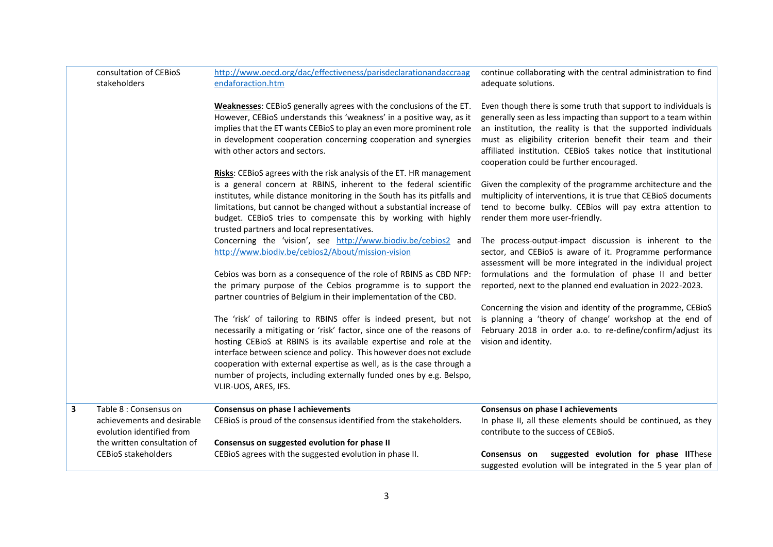|   | consultation of CEBioS<br>stakeholders                                            | http://www.oecd.org/dac/effectiveness/parisdeclarationandaccraag<br>endaforaction.htm                                                                                                                                                                                                                                                                                                                                                                             | continue collaborating with the central administration to find<br>adequate solutions.                                                                                                                                                                                                                                                                                         |  |  |
|---|-----------------------------------------------------------------------------------|-------------------------------------------------------------------------------------------------------------------------------------------------------------------------------------------------------------------------------------------------------------------------------------------------------------------------------------------------------------------------------------------------------------------------------------------------------------------|-------------------------------------------------------------------------------------------------------------------------------------------------------------------------------------------------------------------------------------------------------------------------------------------------------------------------------------------------------------------------------|--|--|
|   |                                                                                   | Weaknesses: CEBioS generally agrees with the conclusions of the ET.<br>However, CEBIOS understands this 'weakness' in a positive way, as it<br>implies that the ET wants CEBioS to play an even more prominent role<br>in development cooperation concerning cooperation and synergies<br>with other actors and sectors.                                                                                                                                          | Even though there is some truth that support to individuals is<br>generally seen as less impacting than support to a team within<br>an institution, the reality is that the supported individuals<br>must as eligibility criterion benefit their team and their<br>affiliated institution. CEBIOS takes notice that institutional<br>cooperation could be further encouraged. |  |  |
|   |                                                                                   | Risks: CEBioS agrees with the risk analysis of the ET. HR management<br>is a general concern at RBINS, inherent to the federal scientific<br>institutes, while distance monitoring in the South has its pitfalls and<br>limitations, but cannot be changed without a substantial increase of<br>budget. CEBioS tries to compensate this by working with highly<br>trusted partners and local representatives.                                                     | Given the complexity of the programme architecture and the<br>multiplicity of interventions, it is true that CEBioS documents<br>tend to become bulky. CEBios will pay extra attention to<br>render them more user-friendly.                                                                                                                                                  |  |  |
|   |                                                                                   | Concerning the 'vision', see http://www.biodiv.be/cebios2 and<br>http://www.biodiv.be/cebios2/About/mission-vision                                                                                                                                                                                                                                                                                                                                                | The process-output-impact discussion is inherent to the<br>sector, and CEBioS is aware of it. Programme performance<br>assessment will be more integrated in the individual project                                                                                                                                                                                           |  |  |
|   |                                                                                   | Cebios was born as a consequence of the role of RBINS as CBD NFP:<br>the primary purpose of the Cebios programme is to support the<br>partner countries of Belgium in their implementation of the CBD.                                                                                                                                                                                                                                                            | formulations and the formulation of phase II and better<br>reported, next to the planned end evaluation in 2022-2023.                                                                                                                                                                                                                                                         |  |  |
|   |                                                                                   | The 'risk' of tailoring to RBINS offer is indeed present, but not<br>necessarily a mitigating or 'risk' factor, since one of the reasons of<br>hosting CEBioS at RBINS is its available expertise and role at the<br>interface between science and policy. This however does not exclude<br>cooperation with external expertise as well, as is the case through a<br>number of projects, including externally funded ones by e.g. Belspo,<br>VLIR-UOS, ARES, IFS. | Concerning the vision and identity of the programme, CEBioS<br>is planning a 'theory of change' workshop at the end of<br>February 2018 in order a.o. to re-define/confirm/adjust its<br>vision and identity.                                                                                                                                                                 |  |  |
| 3 | Table 8 : Consensus on<br>achievements and desirable<br>evolution identified from | <b>Consensus on phase I achievements</b><br>CEBioS is proud of the consensus identified from the stakeholders.                                                                                                                                                                                                                                                                                                                                                    | <b>Consensus on phase I achievements</b><br>In phase II, all these elements should be continued, as they<br>contribute to the success of CEBioS.                                                                                                                                                                                                                              |  |  |
|   | the written consultation of<br><b>CEBioS stakeholders</b>                         | Consensus on suggested evolution for phase II<br>CEBioS agrees with the suggested evolution in phase II.                                                                                                                                                                                                                                                                                                                                                          | suggested evolution for phase IIThese<br>Consensus on<br>suggested evolution will be integrated in the 5 year plan of                                                                                                                                                                                                                                                         |  |  |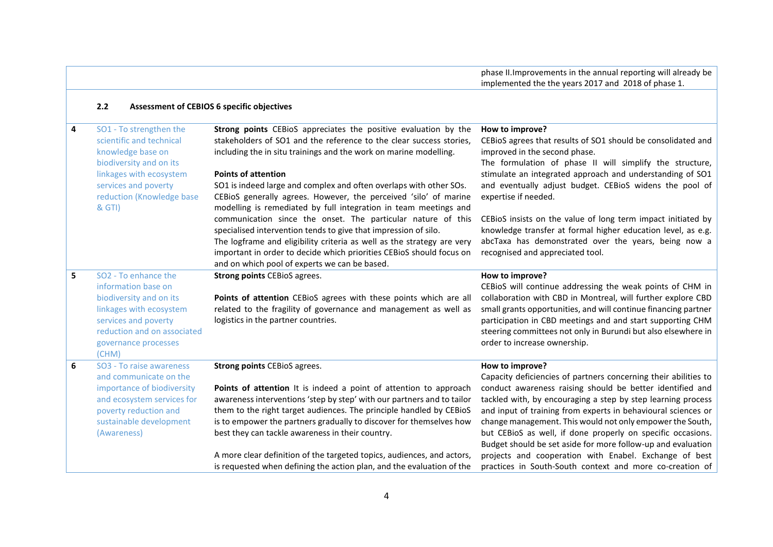phase II.Improvements in the annual reporting will already be implemented the the years 2017 and 2018 of phase 1.

#### **2.2 Assessment of CEBIOS 6 specific objectives**

| 4 | SO1 - To strengthen the<br>scientific and technical<br>knowledge base on<br>biodiversity and on its<br>linkages with ecosystem<br>services and poverty<br>reduction (Knowledge base<br>& GTI)         | Strong points CEBioS appreciates the positive evaluation by the<br>stakeholders of SO1 and the reference to the clear success stories,<br>including the in situ trainings and the work on marine modelling.<br><b>Points of attention</b><br>SO1 is indeed large and complex and often overlaps with other SOs.<br>CEBioS generally agrees. However, the perceived 'silo' of marine<br>modelling is remediated by full integration in team meetings and<br>communication since the onset. The particular nature of this<br>specialised intervention tends to give that impression of silo.<br>The logframe and eligibility criteria as well as the strategy are very<br>important in order to decide which priorities CEBioS should focus on<br>and on which pool of experts we can be based. | How to improve?<br>CEBioS agrees that results of SO1 should be consolidated and<br>improved in the second phase.<br>The formulation of phase II will simplify the structure,<br>stimulate an integrated approach and understanding of SO1<br>and eventually adjust budget. CEBioS widens the pool of<br>expertise if needed.<br>CEBioS insists on the value of long term impact initiated by<br>knowledge transfer at formal higher education level, as e.g.<br>abcTaxa has demonstrated over the years, being now a<br>recognised and appreciated tool.                                           |
|---|-------------------------------------------------------------------------------------------------------------------------------------------------------------------------------------------------------|-----------------------------------------------------------------------------------------------------------------------------------------------------------------------------------------------------------------------------------------------------------------------------------------------------------------------------------------------------------------------------------------------------------------------------------------------------------------------------------------------------------------------------------------------------------------------------------------------------------------------------------------------------------------------------------------------------------------------------------------------------------------------------------------------|----------------------------------------------------------------------------------------------------------------------------------------------------------------------------------------------------------------------------------------------------------------------------------------------------------------------------------------------------------------------------------------------------------------------------------------------------------------------------------------------------------------------------------------------------------------------------------------------------|
| 5 | SO <sub>2</sub> - To enhance the<br>information base on<br>biodiversity and on its<br>linkages with ecosystem<br>services and poverty<br>reduction and on associated<br>governance processes<br>(CHM) | <b>Strong points CEBioS agrees.</b><br>Points of attention CEBioS agrees with these points which are all<br>related to the fragility of governance and management as well as<br>logistics in the partner countries.                                                                                                                                                                                                                                                                                                                                                                                                                                                                                                                                                                           | How to improve?<br>CEBioS will continue addressing the weak points of CHM in<br>collaboration with CBD in Montreal, will further explore CBD<br>small grants opportunities, and will continue financing partner<br>participation in CBD meetings and and start supporting CHM<br>steering committees not only in Burundi but also elsewhere in<br>order to increase ownership.                                                                                                                                                                                                                     |
| 6 | SO <sub>3</sub> - To raise awareness<br>and communicate on the<br>importance of biodiversity<br>and ecosystem services for<br>poverty reduction and<br>sustainable development<br>(Awareness)         | <b>Strong points CEBioS agrees.</b><br><b>Points of attention</b> It is indeed a point of attention to approach<br>awareness interventions 'step by step' with our partners and to tailor<br>them to the right target audiences. The principle handled by CEBioS<br>is to empower the partners gradually to discover for themselves how<br>best they can tackle awareness in their country.<br>A more clear definition of the targeted topics, audiences, and actors,<br>is requested when defining the action plan, and the evaluation of the                                                                                                                                                                                                                                                | How to improve?<br>Capacity deficiencies of partners concerning their abilities to<br>conduct awareness raising should be better identified and<br>tackled with, by encouraging a step by step learning process<br>and input of training from experts in behavioural sciences or<br>change management. This would not only empower the South,<br>but CEBioS as well, if done properly on specific occasions.<br>Budget should be set aside for more follow-up and evaluation<br>projects and cooperation with Enabel. Exchange of best<br>practices in South-South context and more co-creation of |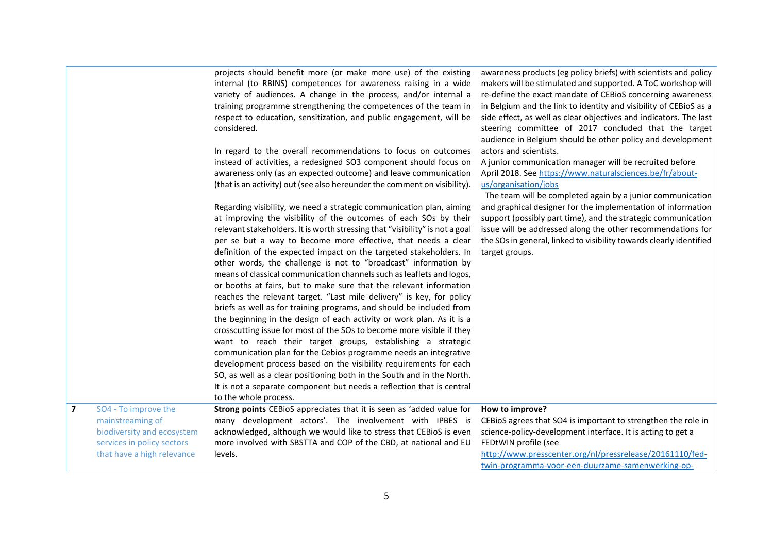|                         |                                                                                                                                    | projects should benefit more (or make more use) of the existing<br>internal (to RBINS) competences for awareness raising in a wide<br>variety of audiences. A change in the process, and/or internal a<br>training programme strengthening the competences of the team in<br>respect to education, sensitization, and public engagement, will be<br>considered.                                                                                                                                                                                                                                                                                                                                                                                                                                                                                                                                                                                                                                                                                                                                                                                                                                                                                                         | awareness products (eg policy briefs) with scientists and policy<br>makers will be stimulated and supported. A ToC workshop will<br>re-define the exact mandate of CEBioS concerning awareness<br>in Belgium and the link to identity and visibility of CEBioS as a<br>side effect, as well as clear objectives and indicators. The last<br>steering committee of 2017 concluded that the target<br>audience in Belgium should be other policy and development |
|-------------------------|------------------------------------------------------------------------------------------------------------------------------------|-------------------------------------------------------------------------------------------------------------------------------------------------------------------------------------------------------------------------------------------------------------------------------------------------------------------------------------------------------------------------------------------------------------------------------------------------------------------------------------------------------------------------------------------------------------------------------------------------------------------------------------------------------------------------------------------------------------------------------------------------------------------------------------------------------------------------------------------------------------------------------------------------------------------------------------------------------------------------------------------------------------------------------------------------------------------------------------------------------------------------------------------------------------------------------------------------------------------------------------------------------------------------|----------------------------------------------------------------------------------------------------------------------------------------------------------------------------------------------------------------------------------------------------------------------------------------------------------------------------------------------------------------------------------------------------------------------------------------------------------------|
|                         |                                                                                                                                    | In regard to the overall recommendations to focus on outcomes<br>instead of activities, a redesigned SO3 component should focus on<br>awareness only (as an expected outcome) and leave communication<br>(that is an activity) out (see also hereunder the comment on visibility).                                                                                                                                                                                                                                                                                                                                                                                                                                                                                                                                                                                                                                                                                                                                                                                                                                                                                                                                                                                      | actors and scientists.<br>A junior communication manager will be recruited before<br>April 2018. See https://www.naturalsciences.be/fr/about-<br>us/organisation/jobs<br>The team will be completed again by a junior communication                                                                                                                                                                                                                            |
|                         |                                                                                                                                    | Regarding visibility, we need a strategic communication plan, aiming<br>at improving the visibility of the outcomes of each SOs by their<br>relevant stakeholders. It is worth stressing that "visibility" is not a goal<br>per se but a way to become more effective, that needs a clear<br>definition of the expected impact on the targeted stakeholders. In<br>other words, the challenge is not to "broadcast" information by<br>means of classical communication channels such as leaflets and logos,<br>or booths at fairs, but to make sure that the relevant information<br>reaches the relevant target. "Last mile delivery" is key, for policy<br>briefs as well as for training programs, and should be included from<br>the beginning in the design of each activity or work plan. As it is a<br>crosscutting issue for most of the SOs to become more visible if they<br>want to reach their target groups, establishing a strategic<br>communication plan for the Cebios programme needs an integrative<br>development process based on the visibility requirements for each<br>SO, as well as a clear positioning both in the South and in the North.<br>It is not a separate component but needs a reflection that is central<br>to the whole process. | and graphical designer for the implementation of information<br>support (possibly part time), and the strategic communication<br>issue will be addressed along the other recommendations for<br>the SOs in general, linked to visibility towards clearly identified<br>target groups.                                                                                                                                                                          |
| $\overline{\mathbf{z}}$ | SO4 - To improve the<br>mainstreaming of<br>biodiversity and ecosystem<br>services in policy sectors<br>that have a high relevance | Strong points CEBioS appreciates that it is seen as 'added value for<br>many development actors'. The involvement with IPBES is<br>acknowledged, although we would like to stress that CEBioS is even<br>more involved with SBSTTA and COP of the CBD, at national and EU<br>levels.                                                                                                                                                                                                                                                                                                                                                                                                                                                                                                                                                                                                                                                                                                                                                                                                                                                                                                                                                                                    | How to improve?<br>CEBioS agrees that SO4 is important to strengthen the role in<br>science-policy-development interface. It is acting to get a<br>FEDtWIN profile (see<br>http://www.presscenter.org/nl/pressrelease/20161110/fed-<br>twin-programma-voor-een-duurzame-samenwerking-op-                                                                                                                                                                       |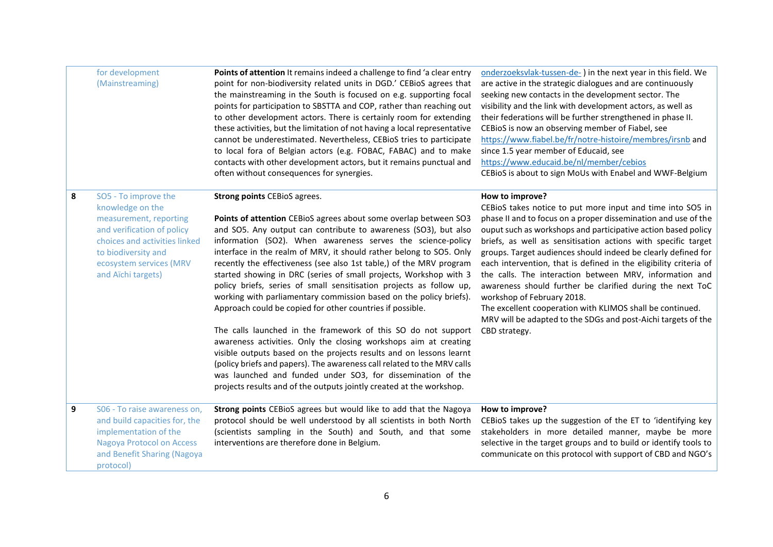|   | for development<br>(Mainstreaming)                                                                                                                                                                        | Points of attention It remains indeed a challenge to find 'a clear entry<br>point for non-biodiversity related units in DGD.' CEBioS agrees that<br>the mainstreaming in the South is focused on e.g. supporting focal<br>points for participation to SBSTTA and COP, rather than reaching out<br>to other development actors. There is certainly room for extending<br>these activities, but the limitation of not having a local representative<br>cannot be underestimated. Nevertheless, CEBioS tries to participate<br>to local fora of Belgian actors (e.g. FOBAC, FABAC) and to make<br>contacts with other development actors, but it remains punctual and<br>often without consequences for synergies.                                                                                                                                                                                                                                                                                                                                                                                      | onderzoeksvlak-tussen-de-) in the next year in this field. We<br>are active in the strategic dialogues and are continuously<br>seeking new contacts in the development sector. The<br>visibility and the link with development actors, as well as<br>their federations will be further strengthened in phase II.<br>CEBioS is now an observing member of Fiabel, see<br>https://www.fiabel.be/fr/notre-histoire/membres/irsnb and<br>since 1.5 year member of Educaid, see<br>https://www.educaid.be/nl/member/cebios<br>CEBioS is about to sign MoUs with Enabel and WWF-Belgium                                                                                                                                            |
|---|-----------------------------------------------------------------------------------------------------------------------------------------------------------------------------------------------------------|------------------------------------------------------------------------------------------------------------------------------------------------------------------------------------------------------------------------------------------------------------------------------------------------------------------------------------------------------------------------------------------------------------------------------------------------------------------------------------------------------------------------------------------------------------------------------------------------------------------------------------------------------------------------------------------------------------------------------------------------------------------------------------------------------------------------------------------------------------------------------------------------------------------------------------------------------------------------------------------------------------------------------------------------------------------------------------------------------|------------------------------------------------------------------------------------------------------------------------------------------------------------------------------------------------------------------------------------------------------------------------------------------------------------------------------------------------------------------------------------------------------------------------------------------------------------------------------------------------------------------------------------------------------------------------------------------------------------------------------------------------------------------------------------------------------------------------------|
| 8 | SO5 - To improve the<br>knowledge on the<br>measurement, reporting<br>and verification of policy<br>choices and activities linked<br>to biodiversity and<br>ecosystem services (MRV<br>and Aïchi targets) | <b>Strong points CEBioS agrees.</b><br>Points of attention CEBioS agrees about some overlap between SO3<br>and SO5. Any output can contribute to awareness (SO3), but also<br>information (SO2). When awareness serves the science-policy<br>interface in the realm of MRV, it should rather belong to SO5. Only<br>recently the effectiveness (see also 1st table,) of the MRV program<br>started showing in DRC (series of small projects, Workshop with 3<br>policy briefs, series of small sensitisation projects as follow up,<br>working with parliamentary commission based on the policy briefs).<br>Approach could be copied for other countries if possible.<br>The calls launched in the framework of this SO do not support<br>awareness activities. Only the closing workshops aim at creating<br>visible outputs based on the projects results and on lessons learnt<br>(policy briefs and papers). The awareness call related to the MRV calls<br>was launched and funded under SO3, for dissemination of the<br>projects results and of the outputs jointly created at the workshop. | How to improve?<br>CEBioS takes notice to put more input and time into SO5 in<br>phase II and to focus on a proper dissemination and use of the<br>ouput such as workshops and participative action based policy<br>briefs, as well as sensitisation actions with specific target<br>groups. Target audiences should indeed be clearly defined for<br>each intervention, that is defined in the eligibility criteria of<br>the calls. The interaction between MRV, information and<br>awareness should further be clarified during the next ToC<br>workshop of February 2018.<br>The excellent cooperation with KLIMOS shall be continued.<br>MRV will be adapted to the SDGs and post-Aichi targets of the<br>CBD strategy. |
| 9 | S06 - To raise awareness on,<br>and build capacities for, the<br>implementation of the<br><b>Nagoya Protocol on Access</b><br>and Benefit Sharing (Nagoya<br>protocol)                                    | Strong points CEBioS agrees but would like to add that the Nagoya<br>protocol should be well understood by all scientists in both North<br>(scientists sampling in the South) and South, and that some<br>interventions are therefore done in Belgium.                                                                                                                                                                                                                                                                                                                                                                                                                                                                                                                                                                                                                                                                                                                                                                                                                                               | How to improve?<br>CEBioS takes up the suggestion of the ET to 'identifying key<br>stakeholders in more detailed manner, maybe be more<br>selective in the target groups and to build or identify tools to<br>communicate on this protocol with support of CBD and NGO's                                                                                                                                                                                                                                                                                                                                                                                                                                                     |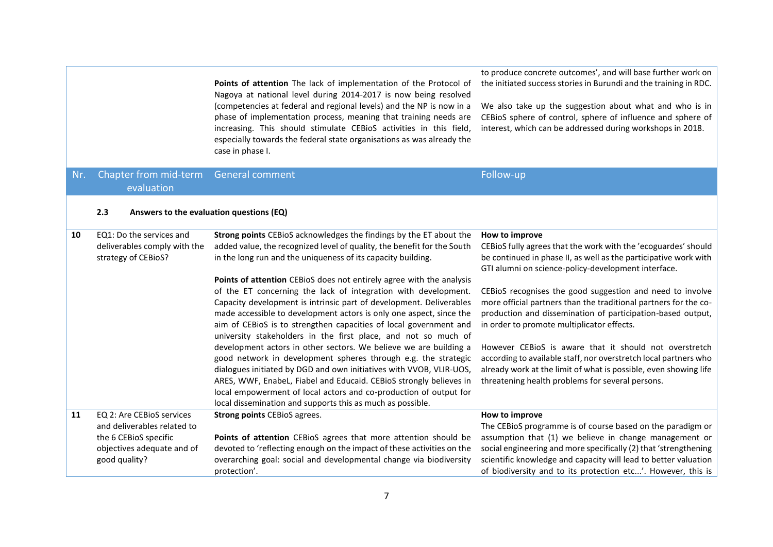|     |                                                                                                                                  | Points of attention The lack of implementation of the Protocol of<br>Nagoya at national level during 2014-2017 is now being resolved<br>(competencies at federal and regional levels) and the NP is now in a<br>phase of implementation process, meaning that training needs are<br>increasing. This should stimulate CEBioS activities in this field,<br>especially towards the federal state organisations as was already the<br>case in phase I. | to produce concrete outcomes', and will base further work on<br>the initiated success stories in Burundi and the training in RDC.<br>We also take up the suggestion about what and who is in<br>CEBioS sphere of control, sphere of influence and sphere of<br>interest, which can be addressed during workshops in 2018.                     |
|-----|----------------------------------------------------------------------------------------------------------------------------------|-----------------------------------------------------------------------------------------------------------------------------------------------------------------------------------------------------------------------------------------------------------------------------------------------------------------------------------------------------------------------------------------------------------------------------------------------------|-----------------------------------------------------------------------------------------------------------------------------------------------------------------------------------------------------------------------------------------------------------------------------------------------------------------------------------------------|
| Nr. | Chapter from mid-term<br>evaluation                                                                                              | <b>General comment</b>                                                                                                                                                                                                                                                                                                                                                                                                                              | Follow-up                                                                                                                                                                                                                                                                                                                                     |
|     | 2.3                                                                                                                              | Answers to the evaluation questions (EQ)                                                                                                                                                                                                                                                                                                                                                                                                            |                                                                                                                                                                                                                                                                                                                                               |
| 10  | EQ1: Do the services and<br>deliverables comply with the<br>strategy of CEBioS?                                                  | Strong points CEBioS acknowledges the findings by the ET about the<br>added value, the recognized level of quality, the benefit for the South<br>in the long run and the uniqueness of its capacity building.                                                                                                                                                                                                                                       | How to improve<br>CEBioS fully agrees that the work with the 'ecoguardes' should<br>be continued in phase II, as well as the participative work with<br>GTI alumni on science-policy-development interface.                                                                                                                                   |
|     |                                                                                                                                  | Points of attention CEBioS does not entirely agree with the analysis<br>of the ET concerning the lack of integration with development.<br>Capacity development is intrinsic part of development. Deliverables<br>made accessible to development actors is only one aspect, since the<br>aim of CEBioS is to strengthen capacities of local government and<br>university stakeholders in the first place, and not so much of                         | CEBioS recognises the good suggestion and need to involve<br>more official partners than the traditional partners for the co-<br>production and dissemination of participation-based output,<br>in order to promote multiplicator effects.                                                                                                    |
|     |                                                                                                                                  | development actors in other sectors. We believe we are building a<br>good network in development spheres through e.g. the strategic<br>dialogues initiated by DGD and own initiatives with VVOB, VLIR-UOS,<br>ARES, WWF, Enabel, Fiabel and Educaid. CEBioS strongly believes in<br>local empowerment of local actors and co-production of output for<br>local dissemination and supports this as much as possible.                                 | However CEBioS is aware that it should not overstretch<br>according to available staff, nor overstretch local partners who<br>already work at the limit of what is possible, even showing life<br>threatening health problems for several persons.                                                                                            |
| 11  | EQ 2: Are CEBioS services<br>and deliverables related to<br>the 6 CEBioS specific<br>objectives adequate and of<br>good quality? | <b>Strong points CEBioS agrees.</b><br>Points of attention CEBioS agrees that more attention should be<br>devoted to 'reflecting enough on the impact of these activities on the<br>overarching goal: social and developmental change via biodiversity<br>protection'.                                                                                                                                                                              | How to improve<br>The CEBioS programme is of course based on the paradigm or<br>assumption that (1) we believe in change management or<br>social engineering and more specifically (2) that 'strengthening<br>scientific knowledge and capacity will lead to better valuation<br>of biodiversity and to its protection etc'. However, this is |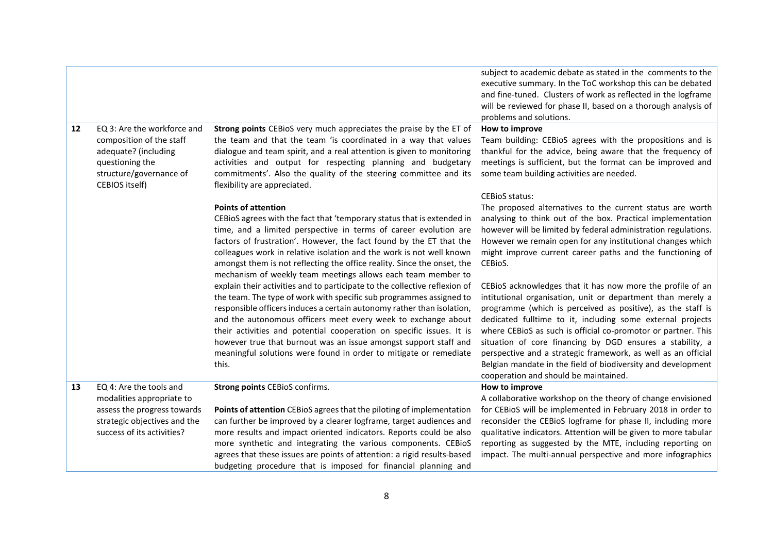|    |                                                                                                                                                 |                                                                                                                                                                                                                                                                                                                                                                                                                                                                                                                        | subject to academic debate as stated in the comments to the<br>executive summary. In the ToC workshop this can be debated<br>and fine-tuned. Clusters of work as reflected in the logframe<br>will be reviewed for phase II, based on a thorough analysis of                                                                                                                                                                                                                                                                                                   |
|----|-------------------------------------------------------------------------------------------------------------------------------------------------|------------------------------------------------------------------------------------------------------------------------------------------------------------------------------------------------------------------------------------------------------------------------------------------------------------------------------------------------------------------------------------------------------------------------------------------------------------------------------------------------------------------------|----------------------------------------------------------------------------------------------------------------------------------------------------------------------------------------------------------------------------------------------------------------------------------------------------------------------------------------------------------------------------------------------------------------------------------------------------------------------------------------------------------------------------------------------------------------|
|    |                                                                                                                                                 |                                                                                                                                                                                                                                                                                                                                                                                                                                                                                                                        | problems and solutions.                                                                                                                                                                                                                                                                                                                                                                                                                                                                                                                                        |
| 12 | EQ 3: Are the workforce and<br>composition of the staff<br>adequate? (including<br>questioning the<br>structure/governance of<br>CEBIOS itself) | Strong points CEBioS very much appreciates the praise by the ET of<br>the team and that the team 'is coordinated in a way that values<br>dialogue and team spirit, and a real attention is given to monitoring<br>activities and output for respecting planning and budgetary<br>commitments'. Also the quality of the steering committee and its<br>flexibility are appreciated.                                                                                                                                      | How to improve<br>Team building: CEBioS agrees with the propositions and is<br>thankful for the advice, being aware that the frequency of<br>meetings is sufficient, but the format can be improved and<br>some team building activities are needed.<br><b>CEBIOS</b> status:                                                                                                                                                                                                                                                                                  |
|    |                                                                                                                                                 | <b>Points of attention</b><br>CEBIOS agrees with the fact that 'temporary status that is extended in<br>time, and a limited perspective in terms of career evolution are<br>factors of frustration'. However, the fact found by the ET that the<br>colleagues work in relative isolation and the work is not well known<br>amongst them is not reflecting the office reality. Since the onset, the<br>mechanism of weekly team meetings allows each team member to                                                     | The proposed alternatives to the current status are worth<br>analysing to think out of the box. Practical implementation<br>however will be limited by federal administration regulations.<br>However we remain open for any institutional changes which<br>might improve current career paths and the functioning of<br>CEBioS.                                                                                                                                                                                                                               |
|    |                                                                                                                                                 | explain their activities and to participate to the collective reflexion of<br>the team. The type of work with specific sub programmes assigned to<br>responsible officers induces a certain autonomy rather than isolation,<br>and the autonomous officers meet every week to exchange about<br>their activities and potential cooperation on specific issues. It is<br>however true that burnout was an issue amongst support staff and<br>meaningful solutions were found in order to mitigate or remediate<br>this. | CEBioS acknowledges that it has now more the profile of an<br>intitutional organisation, unit or department than merely a<br>programme (which is perceived as positive), as the staff is<br>dedicated fulltime to it, including some external projects<br>where CEBioS as such is official co-promotor or partner. This<br>situation of core financing by DGD ensures a stability, a<br>perspective and a strategic framework, as well as an official<br>Belgian mandate in the field of biodiversity and development<br>cooperation and should be maintained. |
| 13 | EQ 4: Are the tools and                                                                                                                         | Strong points CEBioS confirms.                                                                                                                                                                                                                                                                                                                                                                                                                                                                                         | How to improve                                                                                                                                                                                                                                                                                                                                                                                                                                                                                                                                                 |
|    | modalities appropriate to<br>assess the progress towards<br>strategic objectives and the<br>success of its activities?                          | Points of attention CEBioS agrees that the piloting of implementation<br>can further be improved by a clearer logframe, target audiences and<br>more results and impact oriented indicators. Reports could be also<br>more synthetic and integrating the various components. CEBioS<br>agrees that these issues are points of attention: a rigid results-based<br>budgeting procedure that is imposed for financial planning and                                                                                       | A collaborative workshop on the theory of change envisioned<br>for CEBioS will be implemented in February 2018 in order to<br>reconsider the CEBioS logframe for phase II, including more<br>qualitative indicators. Attention will be given to more tabular<br>reporting as suggested by the MTE, including reporting on<br>impact. The multi-annual perspective and more infographics                                                                                                                                                                        |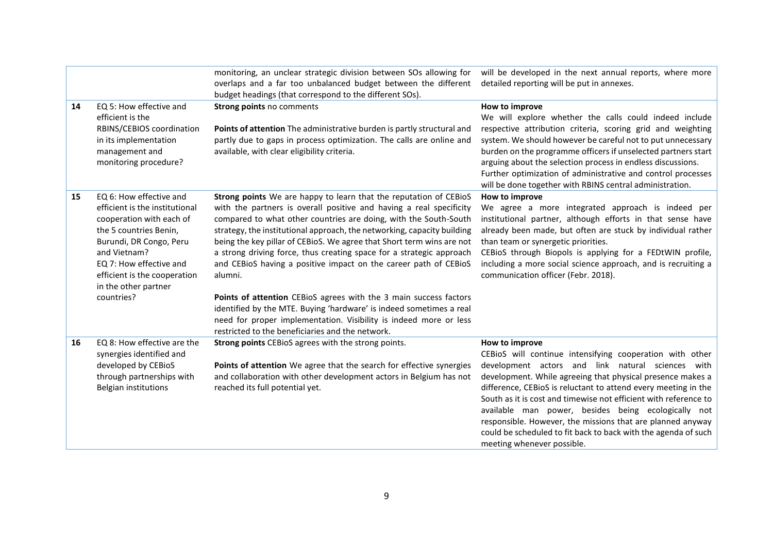|    |                                                                                                                                                                                                                                                             | monitoring, an unclear strategic division between SOs allowing for<br>overlaps and a far too unbalanced budget between the different<br>budget headings (that correspond to the different SOs).                                                                                                                                                                                                                                                                                                                                                                                                                                                                                                                                                                                              | will be developed in the next annual reports, where more<br>detailed reporting will be put in annexes.                                                                                                                                                                                                                                                                                                                                                                                                                                                   |
|----|-------------------------------------------------------------------------------------------------------------------------------------------------------------------------------------------------------------------------------------------------------------|----------------------------------------------------------------------------------------------------------------------------------------------------------------------------------------------------------------------------------------------------------------------------------------------------------------------------------------------------------------------------------------------------------------------------------------------------------------------------------------------------------------------------------------------------------------------------------------------------------------------------------------------------------------------------------------------------------------------------------------------------------------------------------------------|----------------------------------------------------------------------------------------------------------------------------------------------------------------------------------------------------------------------------------------------------------------------------------------------------------------------------------------------------------------------------------------------------------------------------------------------------------------------------------------------------------------------------------------------------------|
| 14 | EQ 5: How effective and<br>efficient is the<br>RBINS/CEBIOS coordination<br>in its implementation<br>management and<br>monitoring procedure?                                                                                                                | Strong points no comments<br>Points of attention The administrative burden is partly structural and<br>partly due to gaps in process optimization. The calls are online and<br>available, with clear eligibility criteria.                                                                                                                                                                                                                                                                                                                                                                                                                                                                                                                                                                   | How to improve<br>We will explore whether the calls could indeed include<br>respective attribution criteria, scoring grid and weighting<br>system. We should however be careful not to put unnecessary<br>burden on the programme officers if unselected partners start<br>arguing about the selection process in endless discussions.<br>Further optimization of administrative and control processes<br>will be done together with RBINS central administration.                                                                                       |
| 15 | EQ 6: How effective and<br>efficient is the institutional<br>cooperation with each of<br>the 5 countries Benin,<br>Burundi, DR Congo, Peru<br>and Vietnam?<br>EQ 7: How effective and<br>efficient is the cooperation<br>in the other partner<br>countries? | Strong points We are happy to learn that the reputation of CEBioS<br>with the partners is overall positive and having a real specificity<br>compared to what other countries are doing, with the South-South<br>strategy, the institutional approach, the networking, capacity building<br>being the key pillar of CEBioS. We agree that Short term wins are not<br>a strong driving force, thus creating space for a strategic approach<br>and CEBioS having a positive impact on the career path of CEBioS<br>alumni.<br>Points of attention CEBioS agrees with the 3 main success factors<br>identified by the MTE. Buying 'hardware' is indeed sometimes a real<br>need for proper implementation. Visibility is indeed more or less<br>restricted to the beneficiaries and the network. | How to improve<br>We agree a more integrated approach is indeed per<br>institutional partner, although efforts in that sense have<br>already been made, but often are stuck by individual rather<br>than team or synergetic priorities.<br>CEBioS through Biopols is applying for a FEDtWIN profile,<br>including a more social science approach, and is recruiting a<br>communication officer (Febr. 2018).                                                                                                                                             |
| 16 | EQ 8: How effective are the<br>synergies identified and<br>developed by CEBioS<br>through partnerships with<br>Belgian institutions                                                                                                                         | Strong points CEBioS agrees with the strong points.<br>Points of attention We agree that the search for effective synergies<br>and collaboration with other development actors in Belgium has not<br>reached its full potential yet.                                                                                                                                                                                                                                                                                                                                                                                                                                                                                                                                                         | How to improve<br>CEBioS will continue intensifying cooperation with other<br>development actors and link natural sciences with<br>development. While agreeing that physical presence makes a<br>difference, CEBioS is reluctant to attend every meeting in the<br>South as it is cost and timewise not efficient with reference to<br>available man power, besides being ecologically not<br>responsible. However, the missions that are planned anyway<br>could be scheduled to fit back to back with the agenda of such<br>meeting whenever possible. |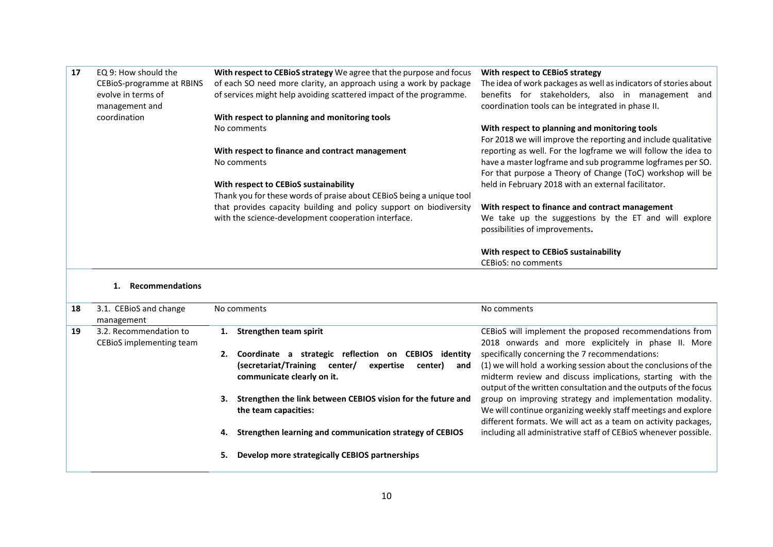| 17 | EQ 9: How should the<br>CEBioS-programme at RBINS<br>evolve in terms of<br>management and | With respect to CEBioS strategy We agree that the purpose and focus<br>of each SO need more clarity, an approach using a work by package<br>of services might help avoiding scattered impact of the programme. | With respect to CEBioS strategy<br>The idea of work packages as well as indicators of stories about<br>benefits for stakeholders, also in management and<br>coordination tools can be integrated in phase II. |
|----|-------------------------------------------------------------------------------------------|----------------------------------------------------------------------------------------------------------------------------------------------------------------------------------------------------------------|---------------------------------------------------------------------------------------------------------------------------------------------------------------------------------------------------------------|
|    | coordination                                                                              | With respect to planning and monitoring tools                                                                                                                                                                  |                                                                                                                                                                                                               |
|    |                                                                                           | No comments                                                                                                                                                                                                    | With respect to planning and monitoring tools                                                                                                                                                                 |
|    |                                                                                           |                                                                                                                                                                                                                | For 2018 we will improve the reporting and include qualitative                                                                                                                                                |
|    |                                                                                           | With respect to finance and contract management                                                                                                                                                                | reporting as well. For the logframe we will follow the idea to                                                                                                                                                |
|    |                                                                                           | No comments                                                                                                                                                                                                    | have a master logframe and sub programme logframes per SO.                                                                                                                                                    |
|    |                                                                                           |                                                                                                                                                                                                                | For that purpose a Theory of Change (ToC) workshop will be                                                                                                                                                    |
|    |                                                                                           | With respect to CEBioS sustainability                                                                                                                                                                          | held in February 2018 with an external facilitator.                                                                                                                                                           |
|    |                                                                                           | Thank you for these words of praise about CEBioS being a unique tool                                                                                                                                           |                                                                                                                                                                                                               |
|    |                                                                                           | that provides capacity building and policy support on biodiversity                                                                                                                                             | With respect to finance and contract management                                                                                                                                                               |
|    |                                                                                           | with the science-development cooperation interface.                                                                                                                                                            | We take up the suggestions by the ET and will explore                                                                                                                                                         |
|    |                                                                                           |                                                                                                                                                                                                                | possibilities of improvements.                                                                                                                                                                                |
|    |                                                                                           |                                                                                                                                                                                                                | With respect to CEBioS sustainability                                                                                                                                                                         |
|    |                                                                                           |                                                                                                                                                                                                                | <b>CEBIOS: no comments</b>                                                                                                                                                                                    |
|    |                                                                                           |                                                                                                                                                                                                                |                                                                                                                                                                                                               |

#### **1. Recommendations**

| 18 | 3.1. CEBIOS and change<br>management               | No comments            |                                                                                                                              | No comments                                                                                                                                                                                                                                        |
|----|----------------------------------------------------|------------------------|------------------------------------------------------------------------------------------------------------------------------|----------------------------------------------------------------------------------------------------------------------------------------------------------------------------------------------------------------------------------------------------|
| 19 | 3.2. Recommendation to<br>CEBIOS implementing team | Strengthen team spirit |                                                                                                                              | CEBIOS will implement the proposed recommendations from<br>2018 onwards and more explicitely in phase II. More                                                                                                                                     |
|    |                                                    | (secretariat/Training  | Coordinate a strategic reflection on CEBIOS identity<br>center/<br>expertise<br>center)<br>and<br>communicate clearly on it. | specifically concerning the 7 recommendations:<br>(1) we will hold a working session about the conclusions of the<br>midterm review and discuss implications, starting with the<br>output of the written consultation and the outputs of the focus |
|    |                                                    | the team capacities:   | Strengthen the link between CEBIOS vision for the future and                                                                 | group on improving strategy and implementation modality.<br>We will continue organizing weekly staff meetings and explore<br>different formats. We will act as a team on activity packages,                                                        |
|    |                                                    |                        | Strengthen learning and communication strategy of CEBIOS                                                                     | including all administrative staff of CEBioS whenever possible.                                                                                                                                                                                    |
|    |                                                    |                        | Develop more strategically CEBIOS partnerships                                                                               |                                                                                                                                                                                                                                                    |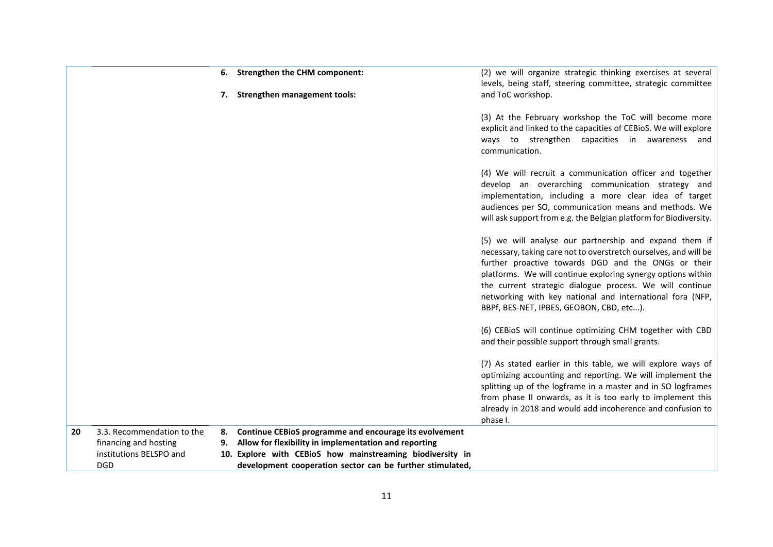|    |                                       |    | 6. Strengthen the CHM component:                                                                                       | (2) we will organize strategic thinking exercises at several<br>levels, being staff, steering committee, strategic committee                                                                                                                                                                                                                                                                                           |
|----|---------------------------------------|----|------------------------------------------------------------------------------------------------------------------------|------------------------------------------------------------------------------------------------------------------------------------------------------------------------------------------------------------------------------------------------------------------------------------------------------------------------------------------------------------------------------------------------------------------------|
|    |                                       |    | 7. Strengthen management tools:                                                                                        | and ToC workshop.<br>(3) At the February workshop the ToC will become more                                                                                                                                                                                                                                                                                                                                             |
|    |                                       |    |                                                                                                                        | explicit and linked to the capacities of CEBioS. We will explore<br>ways to strengthen capacities in awareness and<br>communication.                                                                                                                                                                                                                                                                                   |
|    |                                       |    |                                                                                                                        | (4) We will recruit a communication officer and together<br>develop an overarching communication strategy and<br>implementation, including a more clear idea of target<br>audiences per SO, communication means and methods. We<br>will ask support from e.g. the Belgian platform for Biodiversity.                                                                                                                   |
|    |                                       |    |                                                                                                                        | (5) we will analyse our partnership and expand them if<br>necessary, taking care not to overstretch ourselves, and will be<br>further proactive towards DGD and the ONGs or their<br>platforms. We will continue exploring synergy options within<br>the current strategic dialogue process. We will continue<br>networking with key national and international fora (NFP,<br>BBPf, BES-NET, IPBES, GEOBON, CBD, etc). |
|    |                                       |    |                                                                                                                        | (6) CEBioS will continue optimizing CHM together with CBD<br>and their possible support through small grants.                                                                                                                                                                                                                                                                                                          |
|    |                                       |    |                                                                                                                        | (7) As stated earlier in this table, we will explore ways of<br>optimizing accounting and reporting. We will implement the<br>splitting up of the logframe in a master and in SO logframes<br>from phase II onwards, as it is too early to implement this<br>already in 2018 and would add incoherence and confusion to<br>phase I.                                                                                    |
| 20 | 3.3. Recommendation to the            | 8. | Continue CEBioS programme and encourage its evolvement                                                                 |                                                                                                                                                                                                                                                                                                                                                                                                                        |
|    | financing and hosting                 | 9. | Allow for flexibility in implementation and reporting                                                                  |                                                                                                                                                                                                                                                                                                                                                                                                                        |
|    | institutions BELSPO and<br><b>DGD</b> |    | 10. Explore with CEBioS how mainstreaming biodiversity in<br>development cooperation sector can be further stimulated, |                                                                                                                                                                                                                                                                                                                                                                                                                        |
|    |                                       |    |                                                                                                                        |                                                                                                                                                                                                                                                                                                                                                                                                                        |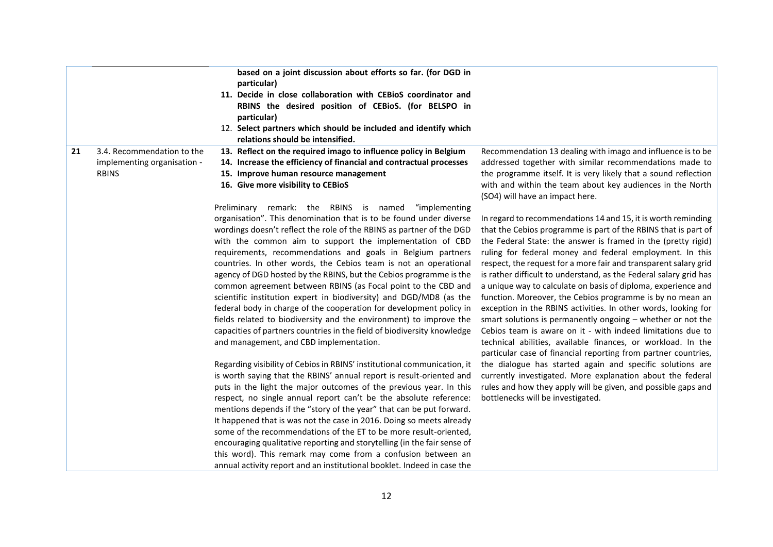|                                                                                 | based on a joint discussion about efforts so far. (for DGD in<br>particular)<br>11. Decide in close collaboration with CEBioS coordinator and<br>RBINS the desired position of CEBioS. (for BELSPO in<br>particular)<br>12. Select partners which should be included and identify which<br>relations should be intensified.                                                                                                                                                                                                                                                                                                                                                                                                                                                                                               |                                                                                                                                                                                                                                                                                                                                                                                                                                                                                                                                                                                                                                                                                                                                                                                                                                                                       |
|---------------------------------------------------------------------------------|---------------------------------------------------------------------------------------------------------------------------------------------------------------------------------------------------------------------------------------------------------------------------------------------------------------------------------------------------------------------------------------------------------------------------------------------------------------------------------------------------------------------------------------------------------------------------------------------------------------------------------------------------------------------------------------------------------------------------------------------------------------------------------------------------------------------------|-----------------------------------------------------------------------------------------------------------------------------------------------------------------------------------------------------------------------------------------------------------------------------------------------------------------------------------------------------------------------------------------------------------------------------------------------------------------------------------------------------------------------------------------------------------------------------------------------------------------------------------------------------------------------------------------------------------------------------------------------------------------------------------------------------------------------------------------------------------------------|
| 3.4. Recommendation to the<br>21<br>implementing organisation -<br><b>RBINS</b> | 13. Reflect on the required imago to influence policy in Belgium<br>14. Increase the efficiency of financial and contractual processes<br>15. Improve human resource management<br>16. Give more visibility to CEBioS<br>Preliminary remark: the RBINS is named<br>"implementing                                                                                                                                                                                                                                                                                                                                                                                                                                                                                                                                          | Recommendation 13 dealing with imago and influence is to be<br>addressed together with similar recommendations made to<br>the programme itself. It is very likely that a sound reflection<br>with and within the team about key audiences in the North<br>(SO4) will have an impact here.                                                                                                                                                                                                                                                                                                                                                                                                                                                                                                                                                                             |
|                                                                                 | organisation". This denomination that is to be found under diverse<br>wordings doesn't reflect the role of the RBINS as partner of the DGD<br>with the common aim to support the implementation of CBD<br>requirements, recommendations and goals in Belgium partners<br>countries. In other words, the Cebios team is not an operational<br>agency of DGD hosted by the RBINS, but the Cebios programme is the<br>common agreement between RBINS (as Focal point to the CBD and<br>scientific institution expert in biodiversity) and DGD/MD8 (as the<br>federal body in charge of the cooperation for development policy in<br>fields related to biodiversity and the environment) to improve the<br>capacities of partners countries in the field of biodiversity knowledge<br>and management, and CBD implementation. | In regard to recommendations 14 and 15, it is worth reminding<br>that the Cebios programme is part of the RBINS that is part of<br>the Federal State: the answer is framed in the (pretty rigid)<br>ruling for federal money and federal employment. In this<br>respect, the request for a more fair and transparent salary grid<br>is rather difficult to understand, as the Federal salary grid has<br>a unique way to calculate on basis of diploma, experience and<br>function. Moreover, the Cebios programme is by no mean an<br>exception in the RBINS activities. In other words, looking for<br>smart solutions is permanently ongoing - whether or not the<br>Cebios team is aware on it - with indeed limitations due to<br>technical abilities, available finances, or workload. In the<br>particular case of financial reporting from partner countries, |
|                                                                                 | Regarding visibility of Cebios in RBINS' institutional communication, it<br>is worth saying that the RBINS' annual report is result-oriented and<br>puts in the light the major outcomes of the previous year. In this<br>respect, no single annual report can't be the absolute reference:<br>mentions depends if the "story of the year" that can be put forward.<br>It happened that is was not the case in 2016. Doing so meets already<br>some of the recommendations of the ET to be more result-oriented,<br>encouraging qualitative reporting and storytelling (in the fair sense of<br>this word). This remark may come from a confusion between an<br>annual activity report and an institutional booklet. Indeed in case the                                                                                   | the dialogue has started again and specific solutions are<br>currently investigated. More explanation about the federal<br>rules and how they apply will be given, and possible gaps and<br>bottlenecks will be investigated.                                                                                                                                                                                                                                                                                                                                                                                                                                                                                                                                                                                                                                         |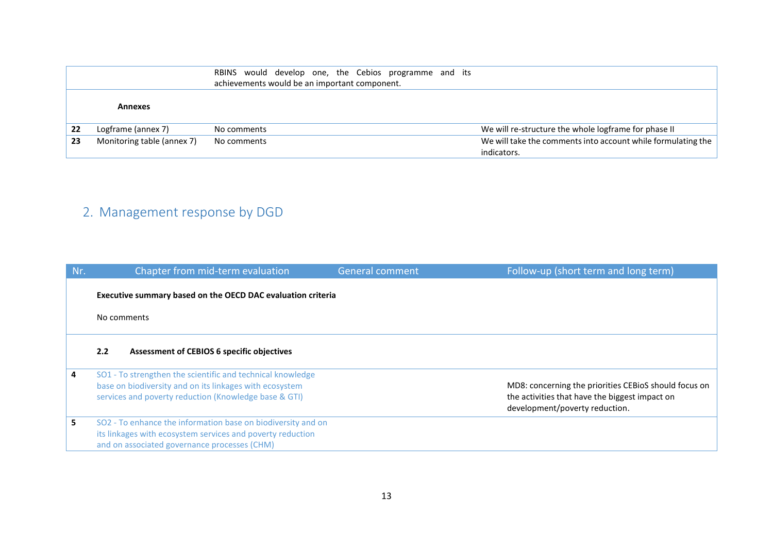|    |                            | RBINS would develop one, the Cebios programme and its<br>achievements would be an important component. |                                                              |
|----|----------------------------|--------------------------------------------------------------------------------------------------------|--------------------------------------------------------------|
|    |                            |                                                                                                        |                                                              |
|    | Annexes                    |                                                                                                        |                                                              |
| 22 | Logframe (annex 7)         | No comments                                                                                            | We will re-structure the whole logframe for phase II         |
| 23 | Monitoring table (annex 7) | No comments                                                                                            | We will take the comments into account while formulating the |
|    |                            |                                                                                                        | indicators.                                                  |

# 2. Management response by DGD

| Nr.         | Chapter from mid-term evaluation                                                                                                                                               | <b>General comment</b> | Follow-up (short term and long term)                                                                                                      |
|-------------|--------------------------------------------------------------------------------------------------------------------------------------------------------------------------------|------------------------|-------------------------------------------------------------------------------------------------------------------------------------------|
|             | Executive summary based on the OECD DAC evaluation criteria                                                                                                                    |                        |                                                                                                                                           |
| No comments |                                                                                                                                                                                |                        |                                                                                                                                           |
|             | 2.2<br><b>Assessment of CEBIOS 6 specific objectives</b>                                                                                                                       |                        |                                                                                                                                           |
| 4           | SO1 - To strengthen the scientific and technical knowledge<br>base on biodiversity and on its linkages with ecosystem<br>services and poverty reduction (Knowledge base & GTI) |                        | MD8: concerning the priorities CEBioS should focus on<br>the activities that have the biggest impact on<br>development/poverty reduction. |
| 5.          | SO2 - To enhance the information base on biodiversity and on<br>its linkages with ecosystem services and poverty reduction<br>and on associated governance processes (CHM)     |                        |                                                                                                                                           |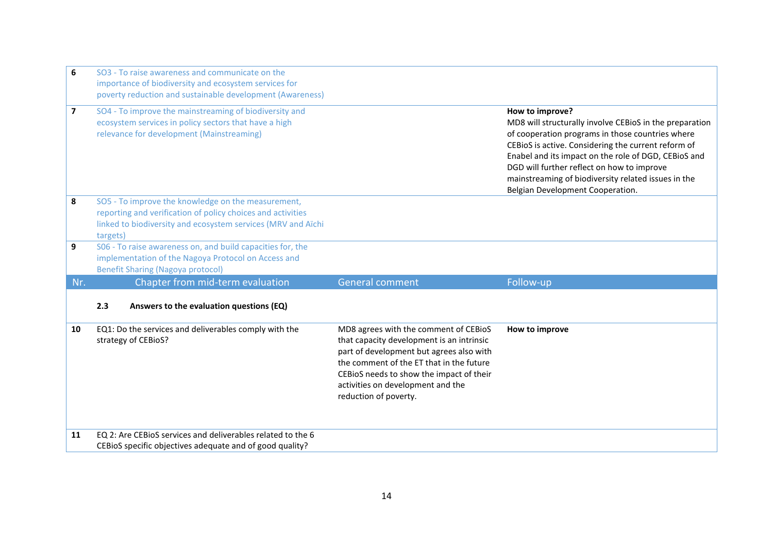| 6                       | SO3 - To raise awareness and communicate on the<br>importance of biodiversity and ecosystem services for<br>poverty reduction and sustainable development (Awareness)                         |                                                                                                                                                                                                                                                                                      |                                                                                                                                                                                                                                                                                                                                                                                        |
|-------------------------|-----------------------------------------------------------------------------------------------------------------------------------------------------------------------------------------------|--------------------------------------------------------------------------------------------------------------------------------------------------------------------------------------------------------------------------------------------------------------------------------------|----------------------------------------------------------------------------------------------------------------------------------------------------------------------------------------------------------------------------------------------------------------------------------------------------------------------------------------------------------------------------------------|
| $\overline{\mathbf{z}}$ | SO4 - To improve the mainstreaming of biodiversity and<br>ecosystem services in policy sectors that have a high<br>relevance for development (Mainstreaming)                                  |                                                                                                                                                                                                                                                                                      | How to improve?<br>MD8 will structurally involve CEBioS in the preparation<br>of cooperation programs in those countries where<br>CEBioS is active. Considering the current reform of<br>Enabel and its impact on the role of DGD, CEBioS and<br>DGD will further reflect on how to improve<br>mainstreaming of biodiversity related issues in the<br>Belgian Development Cooperation. |
| 8                       | SO5 - To improve the knowledge on the measurement,<br>reporting and verification of policy choices and activities<br>linked to biodiversity and ecosystem services (MRV and Aïchi<br>targets) |                                                                                                                                                                                                                                                                                      |                                                                                                                                                                                                                                                                                                                                                                                        |
| 9                       | S06 - To raise awareness on, and build capacities for, the<br>implementation of the Nagoya Protocol on Access and<br><b>Benefit Sharing (Nagoya protocol)</b>                                 |                                                                                                                                                                                                                                                                                      |                                                                                                                                                                                                                                                                                                                                                                                        |
| Nr.                     | Chapter from mid-term evaluation                                                                                                                                                              | <b>General comment</b>                                                                                                                                                                                                                                                               | Follow-up                                                                                                                                                                                                                                                                                                                                                                              |
|                         | Answers to the evaluation questions (EQ)<br>2.3                                                                                                                                               |                                                                                                                                                                                                                                                                                      |                                                                                                                                                                                                                                                                                                                                                                                        |
| 10                      | EQ1: Do the services and deliverables comply with the<br>strategy of CEBioS?                                                                                                                  | MD8 agrees with the comment of CEBioS<br>that capacity development is an intrinsic<br>part of development but agrees also with<br>the comment of the ET that in the future<br>CEBioS needs to show the impact of their<br>activities on development and the<br>reduction of poverty. | How to improve                                                                                                                                                                                                                                                                                                                                                                         |
| 11                      | EQ 2: Are CEBIOS services and deliverables related to the 6                                                                                                                                   |                                                                                                                                                                                                                                                                                      |                                                                                                                                                                                                                                                                                                                                                                                        |
|                         | CEBIOS specific objectives adequate and of good quality?                                                                                                                                      |                                                                                                                                                                                                                                                                                      |                                                                                                                                                                                                                                                                                                                                                                                        |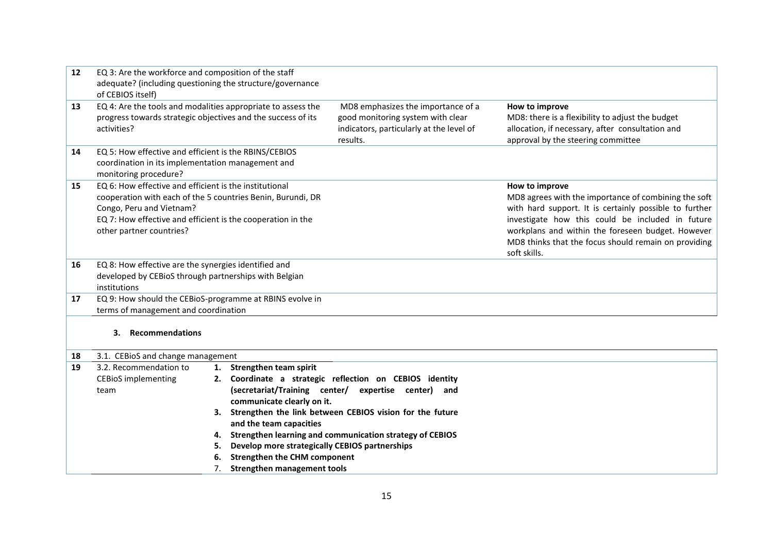| 12 | EQ 3: Are the workforce and composition of the staff                                                          |    |                                                |                                                                               |                                                        |
|----|---------------------------------------------------------------------------------------------------------------|----|------------------------------------------------|-------------------------------------------------------------------------------|--------------------------------------------------------|
|    | adequate? (including questioning the structure/governance                                                     |    |                                                |                                                                               |                                                        |
|    | of CEBIOS itself)                                                                                             |    |                                                |                                                                               |                                                        |
| 13 | EQ 4: Are the tools and modalities appropriate to assess the                                                  |    |                                                | MD8 emphasizes the importance of a                                            | How to improve                                         |
|    | progress towards strategic objectives and the success of its                                                  |    |                                                | good monitoring system with clear                                             | MD8: there is a flexibility to adjust the budget       |
|    | activities?                                                                                                   |    |                                                | indicators, particularly at the level of<br>results.                          | allocation, if necessary, after consultation and       |
| 14 | EQ 5: How effective and efficient is the RBINS/CEBIOS                                                         |    |                                                |                                                                               | approval by the steering committee                     |
|    | coordination in its implementation management and                                                             |    |                                                |                                                                               |                                                        |
|    | monitoring procedure?                                                                                         |    |                                                |                                                                               |                                                        |
| 15 | EQ 6: How effective and efficient is the institutional                                                        |    |                                                |                                                                               | How to improve                                         |
|    | cooperation with each of the 5 countries Benin, Burundi, DR                                                   |    |                                                |                                                                               | MD8 agrees with the importance of combining the soft   |
|    | Congo, Peru and Vietnam?                                                                                      |    |                                                |                                                                               | with hard support. It is certainly possible to further |
|    | EQ 7: How effective and efficient is the cooperation in the                                                   |    |                                                |                                                                               | investigate how this could be included in future       |
|    | other partner countries?                                                                                      |    |                                                |                                                                               | workplans and within the foreseen budget. However      |
|    |                                                                                                               |    |                                                |                                                                               | MD8 thinks that the focus should remain on providing   |
|    |                                                                                                               |    |                                                |                                                                               | soft skills.                                           |
| 16 | EQ 8: How effective are the synergies identified and<br>developed by CEBioS through partnerships with Belgian |    |                                                |                                                                               |                                                        |
|    | institutions                                                                                                  |    |                                                |                                                                               |                                                        |
| 17 | EQ 9: How should the CEBioS-programme at RBINS evolve in                                                      |    |                                                |                                                                               |                                                        |
|    | terms of management and coordination                                                                          |    |                                                |                                                                               |                                                        |
|    |                                                                                                               |    |                                                |                                                                               |                                                        |
|    | <b>Recommendations</b><br>З.                                                                                  |    |                                                |                                                                               |                                                        |
|    |                                                                                                               |    |                                                |                                                                               |                                                        |
| 18 | 3.1. CEBioS and change management                                                                             |    |                                                |                                                                               |                                                        |
| 19 | 3.2. Recommendation to                                                                                        | 1. | Strengthen team spirit                         |                                                                               |                                                        |
|    | <b>CEBioS</b> implementing                                                                                    | 2. | (secretariat/Training center/                  | Coordinate a strategic reflection on CEBIOS identity<br>expertise center) and |                                                        |
|    | team                                                                                                          |    | communicate clearly on it.                     |                                                                               |                                                        |
|    |                                                                                                               |    |                                                | 3. Strengthen the link between CEBIOS vision for the future                   |                                                        |
|    |                                                                                                               |    | and the team capacities                        |                                                                               |                                                        |
|    |                                                                                                               | 4. |                                                | Strengthen learning and communication strategy of CEBIOS                      |                                                        |
|    |                                                                                                               | 5. | Develop more strategically CEBIOS partnerships |                                                                               |                                                        |
|    |                                                                                                               | 6. | <b>Strengthen the CHM component</b>            |                                                                               |                                                        |
|    |                                                                                                               | 7. | <b>Strengthen management tools</b>             |                                                                               |                                                        |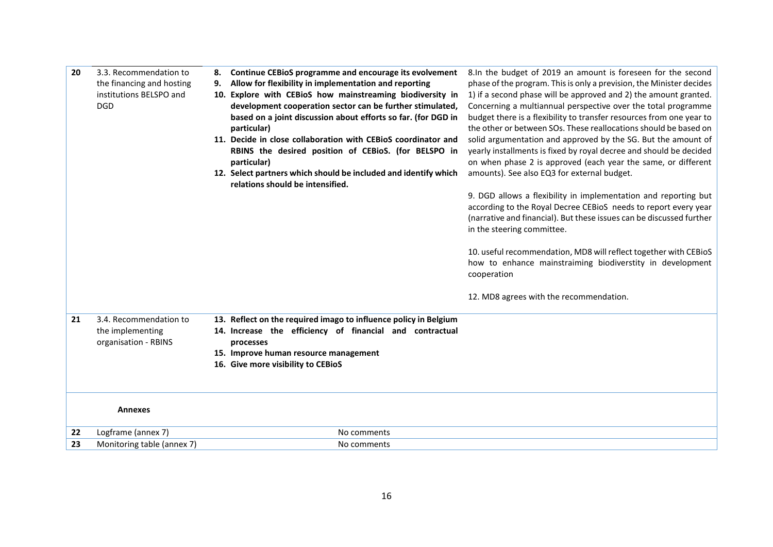| 20 | 3.3. Recommendation to<br>the financing and hosting | Continue CEBioS programme and encourage its evolvement<br>Allow for flexibility in implementation and reporting<br>9.                         | 8. In the budget of 2019 an amount is foreseen for the second<br>phase of the program. This is only a prevision, the Minister decides                                                                                                    |
|----|-----------------------------------------------------|-----------------------------------------------------------------------------------------------------------------------------------------------|------------------------------------------------------------------------------------------------------------------------------------------------------------------------------------------------------------------------------------------|
|    | institutions BELSPO and<br><b>DGD</b>               | 10. Explore with CEBioS how mainstreaming biodiversity in<br>development cooperation sector can be further stimulated,                        | 1) if a second phase will be approved and 2) the amount granted.<br>Concerning a multiannual perspective over the total programme                                                                                                        |
|    |                                                     | based on a joint discussion about efforts so far. (for DGD in<br>particular)<br>11. Decide in close collaboration with CEBioS coordinator and | budget there is a flexibility to transfer resources from one year to<br>the other or between SOs. These reallocations should be based on<br>solid argumentation and approved by the SG. But the amount of                                |
|    |                                                     | RBINS the desired position of CEBioS. (for BELSPO in<br>particular)                                                                           | yearly installments is fixed by royal decree and should be decided<br>on when phase 2 is approved (each year the same, or different                                                                                                      |
|    |                                                     | 12. Select partners which should be included and identify which<br>relations should be intensified.                                           | amounts). See also EQ3 for external budget.                                                                                                                                                                                              |
|    |                                                     |                                                                                                                                               | 9. DGD allows a flexibility in implementation and reporting but<br>according to the Royal Decree CEBioS needs to report every year<br>(narrative and financial). But these issues can be discussed further<br>in the steering committee. |
|    |                                                     |                                                                                                                                               | 10. useful recommendation, MD8 will reflect together with CEBioS<br>how to enhance mainstraiming biodiverstity in development<br>cooperation                                                                                             |
|    |                                                     |                                                                                                                                               | 12. MD8 agrees with the recommendation.                                                                                                                                                                                                  |
| 21 | 3.4. Recommendation to                              | 13. Reflect on the required imago to influence policy in Belgium                                                                              |                                                                                                                                                                                                                                          |
|    | the implementing<br>organisation - RBINS            | 14. Increase the efficiency of financial and contractual<br>processes                                                                         |                                                                                                                                                                                                                                          |
|    |                                                     | 15. Improve human resource management                                                                                                         |                                                                                                                                                                                                                                          |
|    |                                                     | 16. Give more visibility to CEBioS                                                                                                            |                                                                                                                                                                                                                                          |
|    |                                                     |                                                                                                                                               |                                                                                                                                                                                                                                          |
|    | Annexes                                             |                                                                                                                                               |                                                                                                                                                                                                                                          |
| 22 | Logframe (annex 7)                                  | No comments                                                                                                                                   |                                                                                                                                                                                                                                          |
| 23 | Monitoring table (annex 7)                          | No comments                                                                                                                                   |                                                                                                                                                                                                                                          |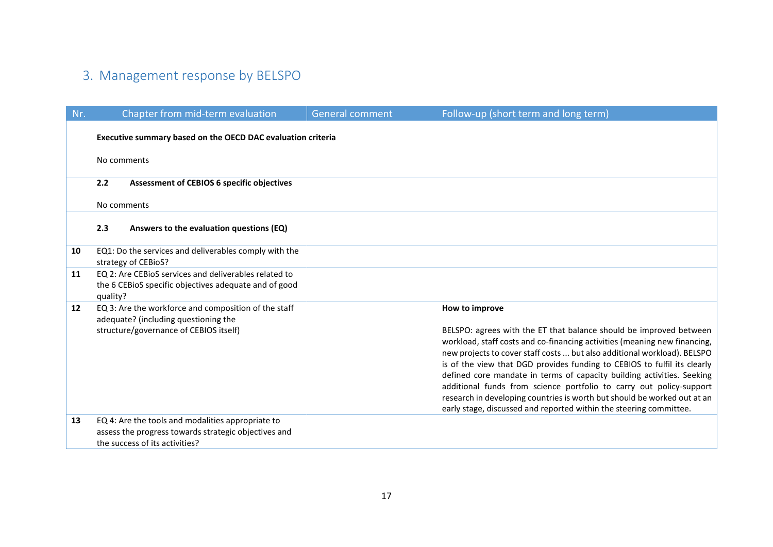## 3. Management response by BELSPO

| Nr. | Chapter from mid-term evaluation                                                                               | <b>General comment</b> | Follow-up (short term and long term)                                                                                                                                                                                                                                                                                                                                                                                                                                                                                                                                                                       |  |  |
|-----|----------------------------------------------------------------------------------------------------------------|------------------------|------------------------------------------------------------------------------------------------------------------------------------------------------------------------------------------------------------------------------------------------------------------------------------------------------------------------------------------------------------------------------------------------------------------------------------------------------------------------------------------------------------------------------------------------------------------------------------------------------------|--|--|
|     | Executive summary based on the OECD DAC evaluation criteria                                                    |                        |                                                                                                                                                                                                                                                                                                                                                                                                                                                                                                                                                                                                            |  |  |
|     | No comments                                                                                                    |                        |                                                                                                                                                                                                                                                                                                                                                                                                                                                                                                                                                                                                            |  |  |
|     | 2.2<br><b>Assessment of CEBIOS 6 specific objectives</b>                                                       |                        |                                                                                                                                                                                                                                                                                                                                                                                                                                                                                                                                                                                                            |  |  |
|     | No comments                                                                                                    |                        |                                                                                                                                                                                                                                                                                                                                                                                                                                                                                                                                                                                                            |  |  |
|     | 2.3<br>Answers to the evaluation questions (EQ)                                                                |                        |                                                                                                                                                                                                                                                                                                                                                                                                                                                                                                                                                                                                            |  |  |
| 10  | EQ1: Do the services and deliverables comply with the<br>strategy of CEBioS?                                   |                        |                                                                                                                                                                                                                                                                                                                                                                                                                                                                                                                                                                                                            |  |  |
| 11  | EQ 2: Are CEBioS services and deliverables related to<br>the 6 CEBioS specific objectives adequate and of good |                        |                                                                                                                                                                                                                                                                                                                                                                                                                                                                                                                                                                                                            |  |  |
|     | quality?                                                                                                       |                        |                                                                                                                                                                                                                                                                                                                                                                                                                                                                                                                                                                                                            |  |  |
| 12  | EQ 3: Are the workforce and composition of the staff<br>adequate? (including questioning the                   |                        | How to improve                                                                                                                                                                                                                                                                                                                                                                                                                                                                                                                                                                                             |  |  |
|     | structure/governance of CEBIOS itself)                                                                         |                        | BELSPO: agrees with the ET that balance should be improved between<br>workload, staff costs and co-financing activities (meaning new financing,<br>new projects to cover staff costs  but also additional workload). BELSPO<br>is of the view that DGD provides funding to CEBIOS to fulfil its clearly<br>defined core mandate in terms of capacity building activities. Seeking<br>additional funds from science portfolio to carry out policy-support<br>research in developing countries is worth but should be worked out at an<br>early stage, discussed and reported within the steering committee. |  |  |
| 13  | EQ 4: Are the tools and modalities appropriate to                                                              |                        |                                                                                                                                                                                                                                                                                                                                                                                                                                                                                                                                                                                                            |  |  |
|     | assess the progress towards strategic objectives and<br>the success of its activities?                         |                        |                                                                                                                                                                                                                                                                                                                                                                                                                                                                                                                                                                                                            |  |  |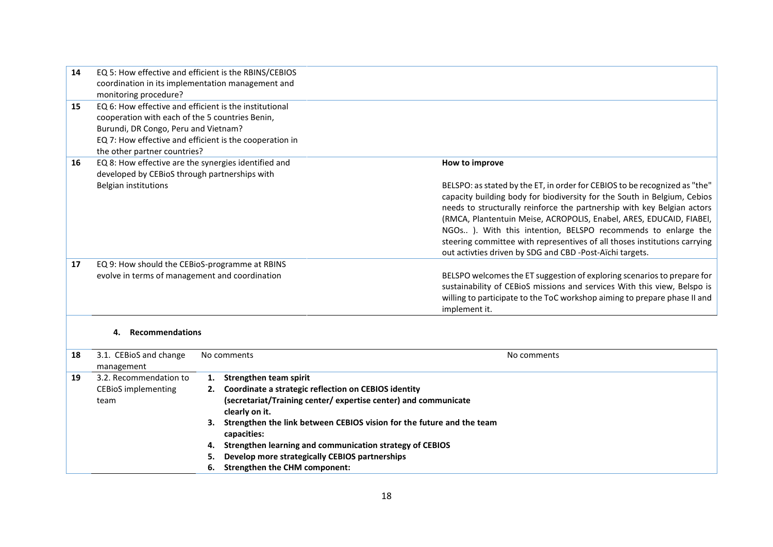| 14 | EQ 5: How effective and efficient is the RBINS/CEBIOS   |                                                                            |
|----|---------------------------------------------------------|----------------------------------------------------------------------------|
|    | coordination in its implementation management and       |                                                                            |
|    | monitoring procedure?                                   |                                                                            |
| 15 | EQ 6: How effective and efficient is the institutional  |                                                                            |
|    | cooperation with each of the 5 countries Benin,         |                                                                            |
|    | Burundi, DR Congo, Peru and Vietnam?                    |                                                                            |
|    | EQ 7: How effective and efficient is the cooperation in |                                                                            |
|    | the other partner countries?                            |                                                                            |
| 16 | EQ 8: How effective are the synergies identified and    | How to improve                                                             |
|    | developed by CEBioS through partnerships with           |                                                                            |
|    | Belgian institutions                                    | BELSPO: as stated by the ET, in order for CEBIOS to be recognized as "the" |
|    |                                                         | capacity building body for biodiversity for the South in Belgium, Cebios   |
|    |                                                         | needs to structurally reinforce the partnership with key Belgian actors    |
|    |                                                         | (RMCA, Plantentuin Meise, ACROPOLIS, Enabel, ARES, EDUCAID, FIABEI,        |
|    |                                                         | NGOs ). With this intention, BELSPO recommends to enlarge the              |
|    |                                                         | steering committee with representives of all thoses institutions carrying  |
|    |                                                         | out activties driven by SDG and CBD -Post-Aïchi targets.                   |
| 17 | EQ 9: How should the CEBioS-programme at RBINS          |                                                                            |
|    | evolve in terms of management and coordination          | BELSPO welcomes the ET suggestion of exploring scenarios to prepare for    |
|    |                                                         | sustainability of CEBioS missions and services With this view, Belspo is   |
|    |                                                         | willing to participate to the ToC workshop aiming to prepare phase II and  |
|    |                                                         | implement it.                                                              |
|    |                                                         |                                                                            |

#### **4. Recommendations**

| 18 | 3.1. CEBioS and change<br>management | No comments<br>No comments                                                  |  |
|----|--------------------------------------|-----------------------------------------------------------------------------|--|
| 19 | 3.2. Recommendation to               | Strengthen team spirit                                                      |  |
|    | <b>CEBIOS</b> implementing           | 2. Coordinate a strategic reflection on CEBIOS identity                     |  |
|    | team                                 | (secretariat/Training center/expertise center) and communicate              |  |
|    |                                      | clearly on it.                                                              |  |
|    |                                      | Strengthen the link between CEBIOS vision for the future and the team<br>3. |  |
|    |                                      | capacities:                                                                 |  |
|    |                                      | Strengthen learning and communication strategy of CEBIOS<br>4.              |  |
|    |                                      | Develop more strategically CEBIOS partnerships<br>5.                        |  |
|    |                                      | <b>Strengthen the CHM component:</b><br>6.                                  |  |